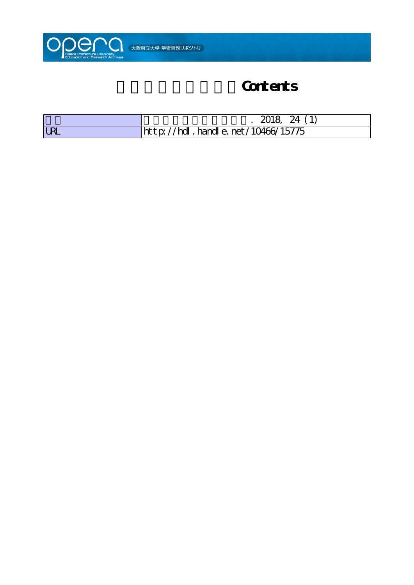

## Contents

|            | 24                                     |
|------------|----------------------------------------|
| <b>LRL</b> | ht t p://hdl. handl e. net/10466/15775 |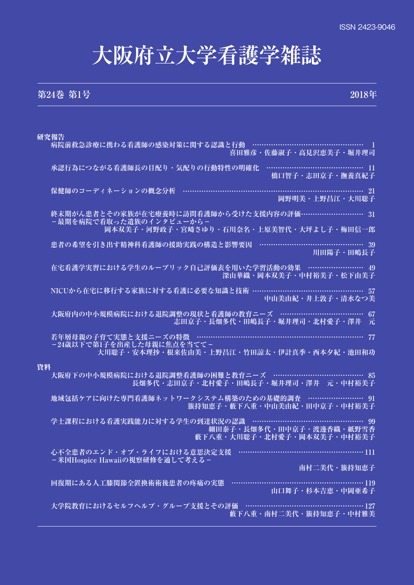# 大阪府立大学看護学雑誌

#### **第1号 2018年**

#### **第24巻**

| 研究報告                                                                                                                      |
|---------------------------------------------------------------------------------------------------------------------------|
| 病院前救急診療に携わる看護師の感染対策に関する認識と行動 ………………………………<br>喜田雅彦・佐藤淑子・高見沢恵美子・堀井理司                                                        |
| 承認行為につながる看護師長の目配り・気配りの行動特性の明確化<br>橋口智子・志田京子・撫養真紀子                                                                         |
| 21<br>保健師のコーディネーションの概念分析<br>岡野明美・上野昌江・大川聡子                                                                                |
| 終末期がん患者とその家族が在宅療養時に訪問看護師から受けた支援内容の評価………………………… 31<br>- 最期を病院で看取った遺族のインタビューから-                                             |
| 岡本双美子・河野政子・宮﨑さゆり・石川奈名・上原美智代・大坪よし子・梅田信一郎                                                                                   |
| <u>患者の希望を引き出す精神科看護師の援助実践の構造と影響要因 ………………………………………</u><br>- 監督の希望を引き出す精神科看護師の援助実践の構造と影響要因<br>-39<br>―― 川田陽子・田嶋長子            |
| 在宅看護学実習における学生のルーブリック自己評価表を用いた学習活動の効果 ……………………… 49<br>深山華織・岡本双美子・中村裕美子・松下由美子                                               |
| NICUから在宅に移行する家族に対する看護に必要な知識と技術 ………………………………………… 57<br>中山美由紀・井上敦子・清水なつ美                                                    |
| 大阪府内の中小規模病院における退院調整の現状と看護師の教育ニーズ ………………………………<br>-67<br>志田京子・長畑多代・田嶋長子・堀井理司・北村愛子・澤井 元                                     |
| 若年層母親の子育て実態と支援ニーズの特徴 ……………………………………………………………… 77<br>-24歳以下で第1子を出産した母親に焦点を当てて-<br>大川聡子・安本理抄・根来佐由美・上野昌江・竹田諒太・伊計真季・西本夕紀・池田和功 |
| 資料                                                                                                                        |
| 大阪府下の中小規模病院における退院調整看護師の困難と教育ニーズ ………………………………… 85<br>長畑多代・志田京子・北村愛子・田嶋長子・堀井理司・澤井 元・中村裕美子                                   |
| 地域包括ケアに向けた専門看護師ネットワークシステム構築のための基礎的調査 ……………………… 91<br>籏持知恵子・藪下八重・中山美由紀・田中京子・中村裕美子                                          |
| 学士課程における看護実践能力に対する学生の到達状況の認識 …………………………………………<br>-99<br>細田泰子・長畑多代・田中京子・渡邊香織・紙野雪香<br>藪下八重・大川聡子・北村愛子・岡本双美子・中村裕美子            |
| 心不全患者のエンド・オブ・ライフにおける意思決定支援<br>- 米国Hospice Hawaiiの視察研修を通して考える-<br>南村二美代・籏持知恵子                                              |
| 回復期にある人工膝関節全置換術術後患者の疼痛の実態<br>山口舞子・杉本吉恵・中岡亜希子                                                                              |
| 大学院教育におけるセルフヘルプ・グループ支援とその評価 …………<br>. 127<br>藪下八重・南村二美代・籏持知恵子・中村雅美                                                        |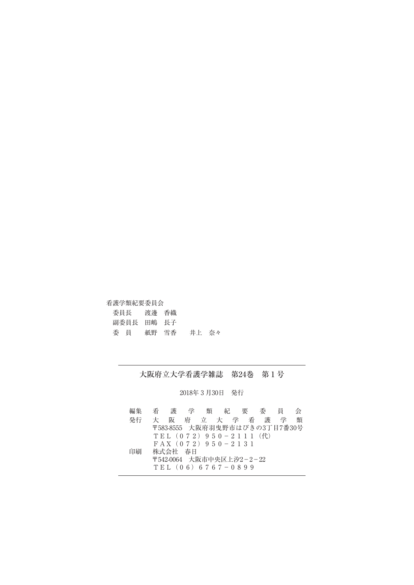看護学類紀要委員会

| 委員長 唐邊 香織           |  |  |  |
|---------------------|--|--|--|
| 副委員長 田嶋 長子          |  |  |  |
| - 委 員  紙野 雪香  井上 奈々 |  |  |  |

### 大阪府立大学看護学雑誌 第24巻 第1号

#### 2018年 3 月30日 発行

| 編集 |   |         |  | 看護学類紀要委員                                                                                                                                 |    | 会 |
|----|---|---------|--|------------------------------------------------------------------------------------------------------------------------------------------|----|---|
| 発行 | 大 |         |  | 阪府立大学看                                                                                                                                   | 護学 | 類 |
| 印刷 |   | 株式会社 春日 |  | 〒583-8555 大阪府羽曳野市はびきの3丁目7番30号<br>TEL $(072)$ 950-2111 (代)<br>$FAX (072) 950 - 2131$<br>〒542-0064 大阪市中央区上汐2-2-22<br>$TEL(06) 6767 - 0899$ |    |   |